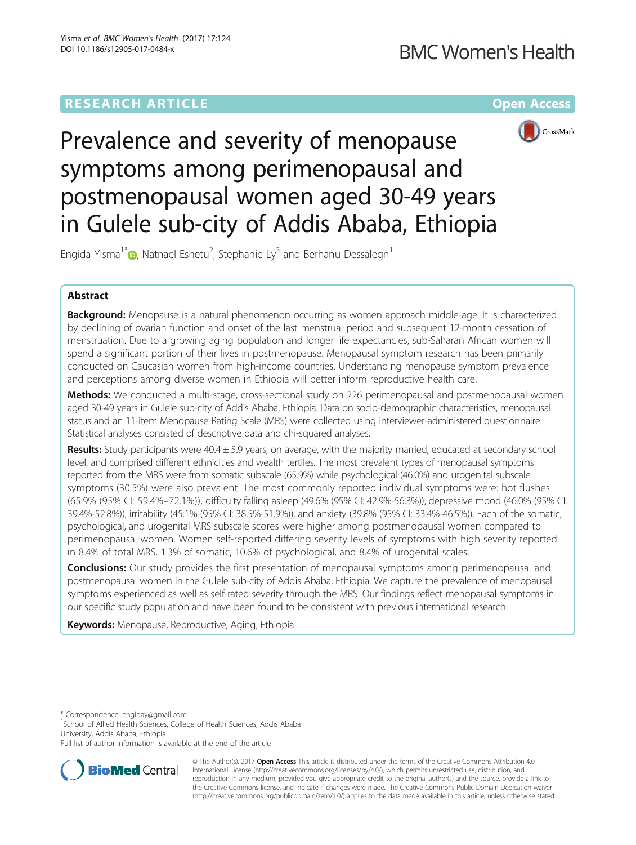# **RESEARCH ARTICLE Example 2014 12:30 The Community Community Community Community Community Community Community**



Prevalence and severity of menopause symptoms among perimenopausal and postmenopausal women aged 30-49 years in Gulele sub-city of Addis Ababa, Ethiopia

Engida Yisma<sup>1\*</sup> <sub>(b</sub>, Natnael Eshetu<sup>2</sup>, Stephanie Ly<sup>3</sup> and Berhanu Dessalegn<sup>1</sup>

# Abstract

Background: Menopause is a natural phenomenon occurring as women approach middle-age. It is characterized by declining of ovarian function and onset of the last menstrual period and subsequent 12-month cessation of menstruation. Due to a growing aging population and longer life expectancies, sub-Saharan African women will spend a significant portion of their lives in postmenopause. Menopausal symptom research has been primarily conducted on Caucasian women from high-income countries. Understanding menopause symptom prevalence and perceptions among diverse women in Ethiopia will better inform reproductive health care.

Methods: We conducted a multi-stage, cross-sectional study on 226 perimenopausal and postmenopausal women aged 30-49 years in Gulele sub-city of Addis Ababa, Ethiopia. Data on socio-demographic characteristics, menopausal status and an 11-item Menopause Rating Scale (MRS) were collected using interviewer-administered questionnaire. Statistical analyses consisted of descriptive data and chi-squared analyses.

**Results:** Study participants were  $40.4 \pm 5.9$  years, on average, with the majority married, educated at secondary school level, and comprised different ethnicities and wealth tertiles. The most prevalent types of menopausal symptoms reported from the MRS were from somatic subscale (65.9%) while psychological (46.0%) and urogenital subscale symptoms (30.5%) were also prevalent. The most commonly reported individual symptoms were: hot flushes (65.9% (95% CI: 59.4%–72.1%)), difficulty falling asleep (49.6% (95% CI: 42.9%-56.3%)), depressive mood (46.0% (95% CI: 39.4%-52.8%)), irritability (45.1% (95% CI: 38.5%-51.9%)), and anxiety (39.8% (95% CI: 33.4%-46.5%)). Each of the somatic, psychological, and urogenital MRS subscale scores were higher among postmenopausal women compared to perimenopausal women. Women self-reported differing severity levels of symptoms with high severity reported in 8.4% of total MRS, 1.3% of somatic, 10.6% of psychological, and 8.4% of urogenital scales.

**Conclusions:** Our study provides the first presentation of menopausal symptoms among perimenopausal and postmenopausal women in the Gulele sub-city of Addis Ababa, Ethiopia. We capture the prevalence of menopausal symptoms experienced as well as self-rated severity through the MRS. Our findings reflect menopausal symptoms in our specific study population and have been found to be consistent with previous international research.

Keywords: Menopause, Reproductive, Aging, Ethiopia

\* Correspondence: [engiday@gmail.com](mailto:engiday@gmail.com) <sup>1</sup>

<sup>1</sup>School of Allied Health Sciences, College of Health Sciences, Addis Ababa University, Addis Ababa, Ethiopia

Full list of author information is available at the end of the article



© The Author(s). 2017 **Open Access** This article is distributed under the terms of the Creative Commons Attribution 4.0 International License [\(http://creativecommons.org/licenses/by/4.0/](http://creativecommons.org/licenses/by/4.0/)), which permits unrestricted use, distribution, and reproduction in any medium, provided you give appropriate credit to the original author(s) and the source, provide a link to the Creative Commons license, and indicate if changes were made. The Creative Commons Public Domain Dedication waiver [\(http://creativecommons.org/publicdomain/zero/1.0/](http://creativecommons.org/publicdomain/zero/1.0/)) applies to the data made available in this article, unless otherwise stated.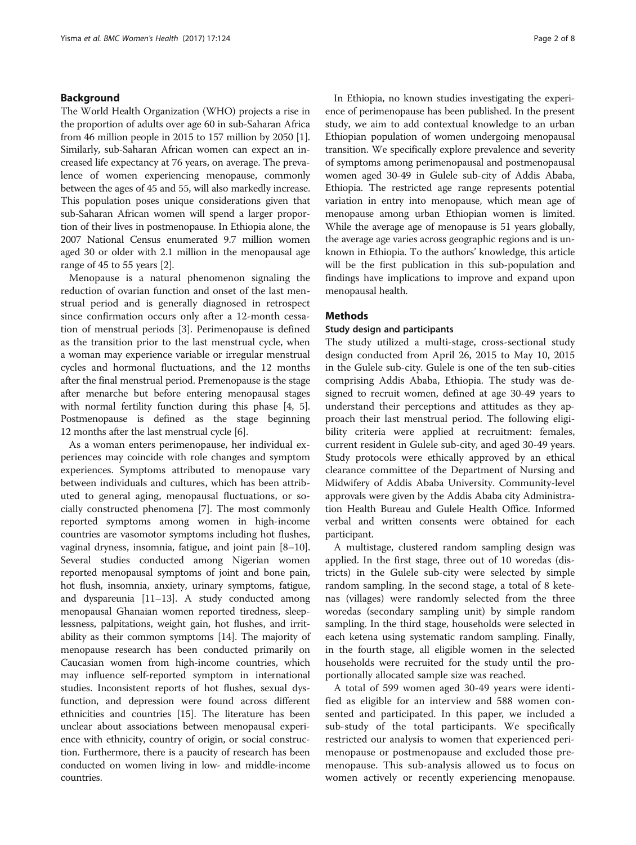# Background

The World Health Organization (WHO) projects a rise in the proportion of adults over age 60 in sub-Saharan Africa from 46 million people in 2015 to 157 million by 2050 [[1](#page-6-0)]. Similarly, sub-Saharan African women can expect an increased life expectancy at 76 years, on average. The prevalence of women experiencing menopause, commonly between the ages of 45 and 55, will also markedly increase. This population poses unique considerations given that sub-Saharan African women will spend a larger proportion of their lives in postmenopause. In Ethiopia alone, the 2007 National Census enumerated 9.7 million women aged 30 or older with 2.1 million in the menopausal age range of 45 to 55 years [\[2](#page-6-0)].

Menopause is a natural phenomenon signaling the reduction of ovarian function and onset of the last menstrual period and is generally diagnosed in retrospect since confirmation occurs only after a 12-month cessation of menstrual periods [\[3](#page-6-0)]. Perimenopause is defined as the transition prior to the last menstrual cycle, when a woman may experience variable or irregular menstrual cycles and hormonal fluctuations, and the 12 months after the final menstrual period. Premenopause is the stage after menarche but before entering menopausal stages with normal fertility function during this phase [\[4](#page-6-0), [5](#page-6-0)]. Postmenopause is defined as the stage beginning 12 months after the last menstrual cycle [\[6](#page-7-0)].

As a woman enters perimenopause, her individual experiences may coincide with role changes and symptom experiences. Symptoms attributed to menopause vary between individuals and cultures, which has been attributed to general aging, menopausal fluctuations, or socially constructed phenomena [[7](#page-7-0)]. The most commonly reported symptoms among women in high-income countries are vasomotor symptoms including hot flushes, vaginal dryness, insomnia, fatigue, and joint pain [[8](#page-7-0)–[10](#page-7-0)]. Several studies conducted among Nigerian women reported menopausal symptoms of joint and bone pain, hot flush, insomnia, anxiety, urinary symptoms, fatigue, and dyspareunia [[11](#page-7-0)–[13\]](#page-7-0). A study conducted among menopausal Ghanaian women reported tiredness, sleeplessness, palpitations, weight gain, hot flushes, and irritability as their common symptoms [\[14\]](#page-7-0). The majority of menopause research has been conducted primarily on Caucasian women from high-income countries, which may influence self-reported symptom in international studies. Inconsistent reports of hot flushes, sexual dysfunction, and depression were found across different ethnicities and countries [[15\]](#page-7-0). The literature has been unclear about associations between menopausal experience with ethnicity, country of origin, or social construction. Furthermore, there is a paucity of research has been conducted on women living in low- and middle-income countries.

In Ethiopia, no known studies investigating the experience of perimenopause has been published. In the present study, we aim to add contextual knowledge to an urban Ethiopian population of women undergoing menopausal transition. We specifically explore prevalence and severity of symptoms among perimenopausal and postmenopausal women aged 30-49 in Gulele sub-city of Addis Ababa, Ethiopia. The restricted age range represents potential variation in entry into menopause, which mean age of menopause among urban Ethiopian women is limited. While the average age of menopause is 51 years globally, the average age varies across geographic regions and is unknown in Ethiopia. To the authors' knowledge, this article will be the first publication in this sub-population and findings have implications to improve and expand upon menopausal health.

# **Methods**

### Study design and participants

The study utilized a multi-stage, cross-sectional study design conducted from April 26, 2015 to May 10, 2015 in the Gulele sub-city. Gulele is one of the ten sub-cities comprising Addis Ababa, Ethiopia. The study was designed to recruit women, defined at age 30-49 years to understand their perceptions and attitudes as they approach their last menstrual period. The following eligibility criteria were applied at recruitment: females, current resident in Gulele sub-city, and aged 30-49 years. Study protocols were ethically approved by an ethical clearance committee of the Department of Nursing and Midwifery of Addis Ababa University. Community-level approvals were given by the Addis Ababa city Administration Health Bureau and Gulele Health Office. Informed verbal and written consents were obtained for each participant.

A multistage, clustered random sampling design was applied. In the first stage, three out of 10 woredas (districts) in the Gulele sub-city were selected by simple random sampling. In the second stage, a total of 8 ketenas (villages) were randomly selected from the three woredas (secondary sampling unit) by simple random sampling. In the third stage, households were selected in each ketena using systematic random sampling. Finally, in the fourth stage, all eligible women in the selected households were recruited for the study until the proportionally allocated sample size was reached.

A total of 599 women aged 30-49 years were identified as eligible for an interview and 588 women consented and participated. In this paper, we included a sub-study of the total participants. We specifically restricted our analysis to women that experienced perimenopause or postmenopause and excluded those premenopause. This sub-analysis allowed us to focus on women actively or recently experiencing menopause.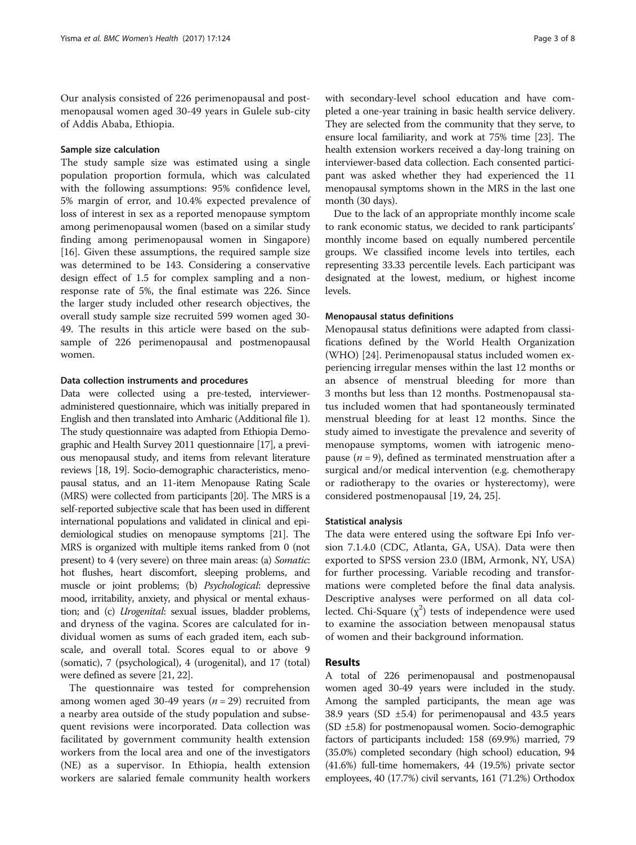Our analysis consisted of 226 perimenopausal and postmenopausal women aged 30-49 years in Gulele sub-city of Addis Ababa, Ethiopia.

# Sample size calculation

The study sample size was estimated using a single population proportion formula, which was calculated with the following assumptions: 95% confidence level, 5% margin of error, and 10.4% expected prevalence of loss of interest in sex as a reported menopause symptom among perimenopausal women (based on a similar study finding among perimenopausal women in Singapore) [[16\]](#page-7-0). Given these assumptions, the required sample size was determined to be 143. Considering a conservative design effect of 1.5 for complex sampling and a nonresponse rate of 5%, the final estimate was 226. Since the larger study included other research objectives, the overall study sample size recruited 599 women aged 30- 49. The results in this article were based on the subsample of 226 perimenopausal and postmenopausal women.

### Data collection instruments and procedures

Data were collected using a pre-tested, intervieweradministered questionnaire, which was initially prepared in English and then translated into Amharic (Additional file [1](#page-6-0)). The study questionnaire was adapted from Ethiopia Demographic and Health Survey 2011 questionnaire [[17\]](#page-7-0), a previous menopausal study, and items from relevant literature reviews [\[18](#page-7-0), [19](#page-7-0)]. Socio-demographic characteristics, menopausal status, and an 11-item Menopause Rating Scale (MRS) were collected from participants [\[20\]](#page-7-0). The MRS is a self-reported subjective scale that has been used in different international populations and validated in clinical and epidemiological studies on menopause symptoms [[21\]](#page-7-0). The MRS is organized with multiple items ranked from 0 (not present) to 4 (very severe) on three main areas: (a) Somatic: hot flushes, heart discomfort, sleeping problems, and muscle or joint problems; (b) Psychological: depressive mood, irritability, anxiety, and physical or mental exhaustion; and (c) Urogenital: sexual issues, bladder problems, and dryness of the vagina. Scores are calculated for individual women as sums of each graded item, each subscale, and overall total. Scores equal to or above 9 (somatic), 7 (psychological), 4 (urogenital), and 17 (total) were defined as severe [[21](#page-7-0), [22\]](#page-7-0).

The questionnaire was tested for comprehension among women aged 30-49 years ( $n = 29$ ) recruited from a nearby area outside of the study population and subsequent revisions were incorporated. Data collection was facilitated by government community health extension workers from the local area and one of the investigators (NE) as a supervisor. In Ethiopia, health extension workers are salaried female community health workers

with secondary-level school education and have completed a one-year training in basic health service delivery. They are selected from the community that they serve, to ensure local familiarity, and work at 75% time [[23](#page-7-0)]. The health extension workers received a day-long training on interviewer-based data collection. Each consented participant was asked whether they had experienced the 11 menopausal symptoms shown in the MRS in the last one month (30 days).

Due to the lack of an appropriate monthly income scale to rank economic status, we decided to rank participants' monthly income based on equally numbered percentile groups. We classified income levels into tertiles, each representing 33.33 percentile levels. Each participant was designated at the lowest, medium, or highest income levels.

### Menopausal status definitions

Menopausal status definitions were adapted from classifications defined by the World Health Organization (WHO) [\[24](#page-7-0)]. Perimenopausal status included women experiencing irregular menses within the last 12 months or an absence of menstrual bleeding for more than 3 months but less than 12 months. Postmenopausal status included women that had spontaneously terminated menstrual bleeding for at least 12 months. Since the study aimed to investigate the prevalence and severity of menopause symptoms, women with iatrogenic menopause ( $n = 9$ ), defined as terminated menstruation after a surgical and/or medical intervention (e.g. chemotherapy or radiotherapy to the ovaries or hysterectomy), were considered postmenopausal [\[19, 24, 25\]](#page-7-0).

### Statistical analysis

The data were entered using the software Epi Info version 7.1.4.0 (CDC, Atlanta, GA, USA). Data were then exported to SPSS version 23.0 (IBM, Armonk, NY, USA) for further processing. Variable recoding and transformations were completed before the final data analysis. Descriptive analyses were performed on all data collected. Chi-Square  $(\chi^2)$  tests of independence were used to examine the association between menopausal status of women and their background information.

# Results

A total of 226 perimenopausal and postmenopausal women aged 30-49 years were included in the study. Among the sampled participants, the mean age was 38.9 years (SD  $\pm$ 5.4) for perimenopausal and 43.5 years (SD ±5.8) for postmenopausal women. Socio-demographic factors of participants included: 158 (69.9%) married, 79 (35.0%) completed secondary (high school) education, 94 (41.6%) full-time homemakers, 44 (19.5%) private sector employees, 40 (17.7%) civil servants, 161 (71.2%) Orthodox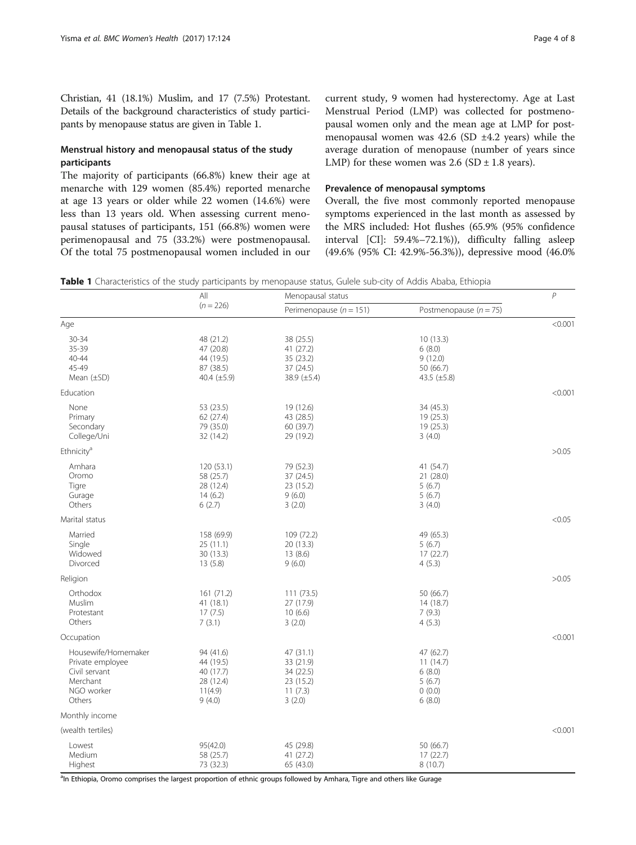Christian, 41 (18.1%) Muslim, and 17 (7.5%) Protestant. Details of the background characteristics of study participants by menopause status are given in Table 1.

# Menstrual history and menopausal status of the study participants

The majority of participants (66.8%) knew their age at menarche with 129 women (85.4%) reported menarche at age 13 years or older while 22 women (14.6%) were less than 13 years old. When assessing current menopausal statuses of participants, 151 (66.8%) women were perimenopausal and 75 (33.2%) were postmenopausal. Of the total 75 postmenopausal women included in our current study, 9 women had hysterectomy. Age at Last Menstrual Period (LMP) was collected for postmenopausal women only and the mean age at LMP for postmenopausal women was  $42.6$  (SD  $\pm 4.2$  years) while the average duration of menopause (number of years since LMP) for these women was  $2.6$  (SD  $\pm$  1.8 years).

### Prevalence of menopausal symptoms

Overall, the five most commonly reported menopause symptoms experienced in the last month as assessed by the MRS included: Hot flushes (65.9% (95% confidence interval [CI]: 59.4%–72.1%)), difficulty falling asleep (49.6% (95% CI: 42.9%-56.3%)), depressive mood (46.0%

Table 1 Characteristics of the study participants by menopause status, Gulele sub-city of Addis Ababa, Ethiopia

|                                                                                              | All                                                                   | Menopausal status                                                     |                                                                | $\overline{P}$ |
|----------------------------------------------------------------------------------------------|-----------------------------------------------------------------------|-----------------------------------------------------------------------|----------------------------------------------------------------|----------------|
|                                                                                              | $(n = 226)$                                                           | Perimenopause ( $n = 151$ )                                           | Postmenopause ( $n = 75$ )                                     |                |
| Age                                                                                          |                                                                       |                                                                       |                                                                | < 0.001        |
| 30-34<br>35-39<br>40-44<br>45-49<br>Mean $(\pm SD)$                                          | 48 (21.2)<br>47 (20.8)<br>44 (19.5)<br>87 (38.5)<br>40.4 $(\pm 5.9)$  | 38 (25.5)<br>41 (27.2)<br>35 (23.2)<br>37 (24.5)<br>38.9 $(\pm 5.4)$  | 10(13.3)<br>6(8.0)<br>9(12.0)<br>50 (66.7)<br>43.5 $(\pm 5.8)$ |                |
| Education                                                                                    |                                                                       |                                                                       |                                                                | < 0.001        |
| None<br>Primary<br>Secondary<br>College/Uni                                                  | 53 (23.5)<br>62 (27.4)<br>79 (35.0)<br>32 (14.2)                      | 19 (12.6)<br>43 (28.5)<br>60 (39.7)<br>29 (19.2)                      | 34 (45.3)<br>19 (25.3)<br>19 (25.3)<br>3(4.0)                  |                |
| Ethnicity <sup>a</sup>                                                                       |                                                                       |                                                                       |                                                                | >0.05          |
| Amhara<br>Oromo<br>Tigre<br>Gurage<br>Others                                                 | 120 (53.1)<br>58 (25.7)<br>28 (12.4)<br>14(6.2)<br>6(2.7)             | 79 (52.3)<br>37 (24.5)<br>23 (15.2)<br>9(6.0)<br>3(2.0)               | 41 (54.7)<br>21 (28.0)<br>5(6.7)<br>5(6.7)<br>3(4.0)           |                |
| Marital status                                                                               |                                                                       |                                                                       |                                                                | < 0.05         |
| Married<br>Single<br>Widowed<br>Divorced                                                     | 158 (69.9)<br>25(11.1)<br>30 (13.3)<br>13(5.8)                        | 109 (72.2)<br>20 (13.3)<br>13(8.6)<br>9(6.0)                          | 49 (65.3)<br>5(6.7)<br>17(22.7)<br>4(5.3)                      |                |
| Religion                                                                                     |                                                                       |                                                                       |                                                                | >0.05          |
| Orthodox<br>Muslim<br>Protestant<br>Others                                                   | 161 (71.2)<br>41 (18.1)<br>17(7.5)<br>7(3.1)                          | 111(73.5)<br>27 (17.9)<br>10(6.6)<br>3(2.0)                           | 50 (66.7)<br>14 (18.7)<br>7(9.3)<br>4(5.3)                     |                |
| Occupation                                                                                   |                                                                       |                                                                       |                                                                | < 0.001        |
| Housewife/Homemaker<br>Private employee<br>Civil servant<br>Merchant<br>NGO worker<br>Others | 94 (41.6)<br>44 (19.5)<br>40 (17.7)<br>28 (12.4)<br>11(4.9)<br>9(4.0) | 47 (31.1)<br>33 (21.9)<br>34 (22.5)<br>23 (15.2)<br>11(7.3)<br>3(2.0) | 47 (62.7)<br>11(14.7)<br>6(8.0)<br>5(6.7)<br>0(0.0)<br>6(8.0)  |                |
| Monthly income                                                                               |                                                                       |                                                                       |                                                                |                |
| (wealth tertiles)                                                                            |                                                                       |                                                                       |                                                                | < 0.001        |
| Lowest<br>Medium<br>Highest                                                                  | 95(42.0)<br>58 (25.7)<br>73 (32.3)                                    | 45 (29.8)<br>41 (27.2)<br>65 (43.0)                                   | 50 (66.7)<br>17(22.7)<br>8(10.7)                               |                |

<sup>a</sup>In Ethiopia, Oromo comprises the largest proportion of ethnic groups followed by Amhara, Tigre and others like Gurage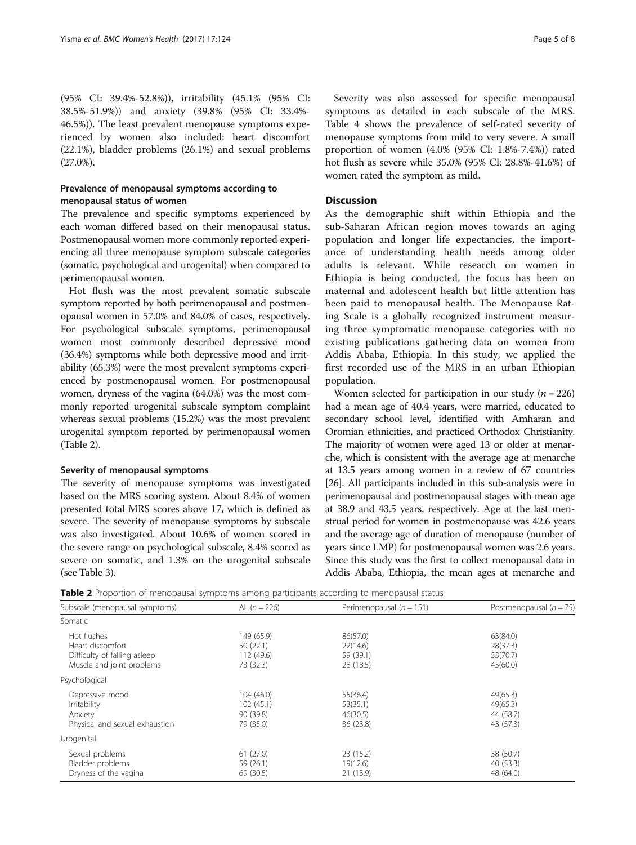(95% CI: 39.4%-52.8%)), irritability (45.1% (95% CI: 38.5%-51.9%)) and anxiety (39.8% (95% CI: 33.4%- 46.5%)). The least prevalent menopause symptoms experienced by women also included: heart discomfort (22.1%), bladder problems (26.1%) and sexual problems (27.0%).

# Prevalence of menopausal symptoms according to menopausal status of women

The prevalence and specific symptoms experienced by each woman differed based on their menopausal status. Postmenopausal women more commonly reported experiencing all three menopause symptom subscale categories (somatic, psychological and urogenital) when compared to perimenopausal women.

Hot flush was the most prevalent somatic subscale symptom reported by both perimenopausal and postmenopausal women in 57.0% and 84.0% of cases, respectively. For psychological subscale symptoms, perimenopausal women most commonly described depressive mood (36.4%) symptoms while both depressive mood and irritability (65.3%) were the most prevalent symptoms experienced by postmenopausal women. For postmenopausal women, dryness of the vagina (64.0%) was the most commonly reported urogenital subscale symptom complaint whereas sexual problems (15.2%) was the most prevalent urogenital symptom reported by perimenopausal women (Table 2).

### Severity of menopausal symptoms

The severity of menopause symptoms was investigated based on the MRS scoring system. About 8.4% of women presented total MRS scores above 17, which is defined as severe. The severity of menopause symptoms by subscale was also investigated. About 10.6% of women scored in the severe range on psychological subscale, 8.4% scored as severe on somatic, and 1.3% on the urogenital subscale (see Table [3](#page-5-0)).

Severity was also assessed for specific menopausal symptoms as detailed in each subscale of the MRS. Table [4](#page-5-0) shows the prevalence of self-rated severity of menopause symptoms from mild to very severe. A small proportion of women (4.0% (95% CI: 1.8%-7.4%)) rated hot flush as severe while 35.0% (95% CI: 28.8%-41.6%) of women rated the symptom as mild.

# **Discussion**

As the demographic shift within Ethiopia and the sub-Saharan African region moves towards an aging population and longer life expectancies, the importance of understanding health needs among older adults is relevant. While research on women in Ethiopia is being conducted, the focus has been on maternal and adolescent health but little attention has been paid to menopausal health. The Menopause Rating Scale is a globally recognized instrument measuring three symptomatic menopause categories with no existing publications gathering data on women from Addis Ababa, Ethiopia. In this study, we applied the first recorded use of the MRS in an urban Ethiopian population.

Women selected for participation in our study  $(n = 226)$ had a mean age of 40.4 years, were married, educated to secondary school level, identified with Amharan and Oromian ethnicities, and practiced Orthodox Christianity. The majority of women were aged 13 or older at menarche, which is consistent with the average age at menarche at 13.5 years among women in a review of 67 countries [[26](#page-7-0)]. All participants included in this sub-analysis were in perimenopausal and postmenopausal stages with mean age at 38.9 and 43.5 years, respectively. Age at the last menstrual period for women in postmenopause was 42.6 years and the average age of duration of menopause (number of years since LMP) for postmenopausal women was 2.6 years. Since this study was the first to collect menopausal data in Addis Ababa, Ethiopia, the mean ages at menarche and

Table 2 Proportion of menopausal symptoms among participants according to menopausal status

| Subscale (menopausal symptoms)                                                               | All $(n = 226)$                                   | Perimenopausal ( $n = 151$ )                   | Postmenopausal ( $n = 75$ )                    |
|----------------------------------------------------------------------------------------------|---------------------------------------------------|------------------------------------------------|------------------------------------------------|
| Somatic                                                                                      |                                                   |                                                |                                                |
| Hot flushes<br>Heart discomfort<br>Difficulty of falling asleep<br>Muscle and joint problems | 149 (65.9)<br>50(22.1)<br>112 (49.6)<br>73 (32.3) | 86(57.0)<br>22(14.6)<br>59 (39.1)<br>28 (18.5) | 63(84.0)<br>28(37.3)<br>53(70.7)<br>45(60.0)   |
| Psychological                                                                                |                                                   |                                                |                                                |
| Depressive mood<br>Irritability<br>Anxiety<br>Physical and sexual exhaustion                 | 104 (46.0)<br>102(45.1)<br>90 (39.8)<br>79 (35.0) | 55(36.4)<br>53(35.1)<br>46(30.5)<br>36 (23.8)  | 49(65.3)<br>49(65.3)<br>44 (58.7)<br>43 (57.3) |
| Urogenital                                                                                   |                                                   |                                                |                                                |
| Sexual problems<br>Bladder problems<br>Dryness of the vagina                                 | 61(27.0)<br>59 (26.1)<br>69 (30.5)                | 23 (15.2)<br>19(12.6)<br>21 (13.9)             | 38 (50.7)<br>40 (53.3)<br>48 (64.0)            |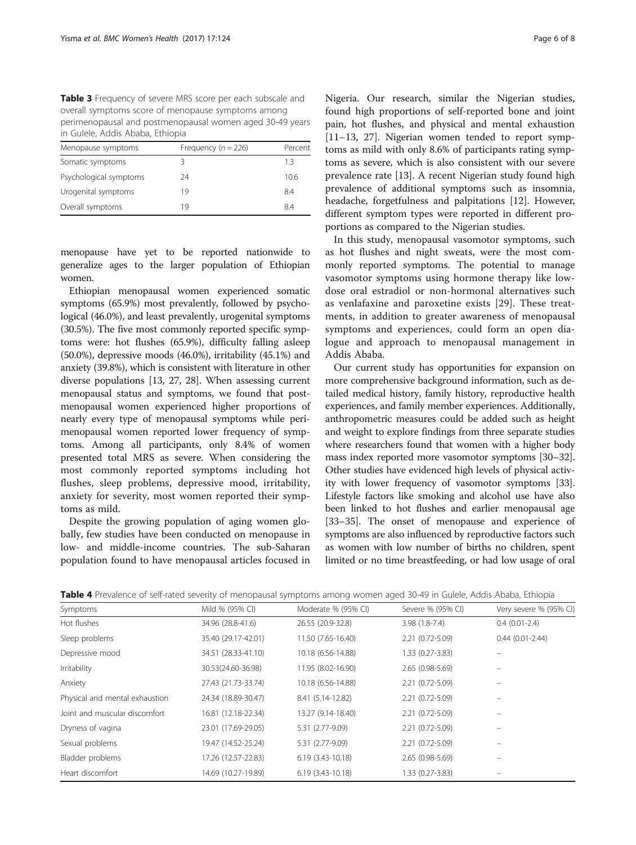<span id="page-5-0"></span>Table 3 Frequency of severe MRS score per each subscale and overall symptoms score of menopause symptoms among perimenopausal and postmenopausal women aged 30-49 years in Gulele, Addis Ababa, Ethiopia

| Menopause symptoms     | Frequency ( $n = 226$ ) | Percent |  |
|------------------------|-------------------------|---------|--|
| Somatic symptoms       |                         | 13      |  |
| Psychological symptoms | 24                      | 10.6    |  |
| Urogenital symptoms    | 19                      | 8.4     |  |
| Overall symptoms       | 19                      | 8.4     |  |

menopause have yet to be reported nationwide to generalize ages to the larger population of Ethiopian women.

Ethiopian menopausal women experienced somatic symptoms (65.9%) most prevalently, followed by psychological (46.0%), and least prevalently, urogenital symptoms (30.5%). The five most commonly reported specific symptoms were: hot flushes (65.9%), difficulty falling asleep (50.0%), depressive moods (46.0%), irritability (45.1%) and anxiety (39.8%), which is consistent with literature in other diverse populations [\[13](#page-7-0), [27, 28](#page-7-0)]. When assessing current menopausal status and symptoms, we found that postmenopausal women experienced higher proportions of nearly every type of menopausal symptoms while perimenopausal women reported lower frequency of symptoms. Among all participants, only 8.4% of women presented total MRS as severe. When considering the most commonly reported symptoms including hot flushes, sleep problems, depressive mood, irritability, anxiety for severity, most women reported their symptoms as mild.

Despite the growing population of aging women globally, few studies have been conducted on menopause in low- and middle-income countries. The sub-Saharan population found to have menopausal articles focused in Nigeria. Our research, similar the Nigerian studies, found high proportions of self-reported bone and joint pain, hot flushes, and physical and mental exhaustion [[11](#page-7-0)–[13](#page-7-0), [27\]](#page-7-0). Nigerian women tended to report symptoms as mild with only 8.6% of participants rating symptoms as severe, which is also consistent with our severe prevalence rate [\[13](#page-7-0)]. A recent Nigerian study found high prevalence of additional symptoms such as insomnia, headache, forgetfulness and palpitations [[12\]](#page-7-0). However, different symptom types were reported in different proportions as compared to the Nigerian studies.

In this study, menopausal vasomotor symptoms, such as hot flushes and night sweats, were the most commonly reported symptoms. The potential to manage vasomotor symptoms using hormone therapy like lowdose oral estradiol or non-hormonal alternatives such as venlafaxine and paroxetine exists [[29](#page-7-0)]. These treatments, in addition to greater awareness of menopausal symptoms and experiences, could form an open dialogue and approach to menopausal management in Addis Ababa.

Our current study has opportunities for expansion on more comprehensive background information, such as detailed medical history, family history, reproductive health experiences, and family member experiences. Additionally, anthropometric measures could be added such as height and weight to explore findings from three separate studies where researchers found that women with a higher body mass index reported more vasomotor symptoms [\[30](#page-7-0)–[32](#page-7-0)]. Other studies have evidenced high levels of physical activity with lower frequency of vasomotor symptoms [[33](#page-7-0)]. Lifestyle factors like smoking and alcohol use have also been linked to hot flushes and earlier menopausal age [[33](#page-7-0)–[35\]](#page-7-0). The onset of menopause and experience of symptoms are also influenced by reproductive factors such as women with low number of births no children, spent limited or no time breastfeeding, or had low usage of oral

| Table 4 Prevalence of self-rated severity of menopausal symptoms among women aged 30-49 in Gulele, Addis Ababa, Ethiopia |  |  |  |
|--------------------------------------------------------------------------------------------------------------------------|--|--|--|
|--------------------------------------------------------------------------------------------------------------------------|--|--|--|

| Symptoms                       | Mild % (95% CI)     | Moderate % (95% CI) | Severe % (95% CI) | Very severe % (95% CI) |
|--------------------------------|---------------------|---------------------|-------------------|------------------------|
| Hot flushes                    | 34.96 (28.8-41.6)   | 26.55 (20.9-32.8)   | $3.98(1.8-7.4)$   | $0.4(0.01-2.4)$        |
| Sleep problems                 | 35.40 (29.17-42.01) | 11.50 (7.65-16.40)  | 2.21 (0.72-5.09)  | $0.44(0.01 - 2.44)$    |
| Depressive mood                | 34.51 (28.33-41.10) | 10.18 (6.56-14.88)  | 1.33 (0.27-3.83)  |                        |
| Irritability                   | 30.53(24.60-36.98)  | 11.95 (8.02-16.90)  | 2.65 (0.98-5.69)  |                        |
| Anxiety                        | 27.43 (21.73-33.74) | 10.18 (6.56-14.88)  | 2.21 (0.72-5.09)  |                        |
| Physical and mental exhaustion | 24.34 (18.89-30.47) | 8.41 (5.14-12.82)   | 2.21 (0.72-5.09)  |                        |
| Joint and muscular discomfort  | 16.81 (12.18-22.34) | 13.27 (9.14-18.40)  | 2.21 (0.72-5.09)  |                        |
| Dryness of vagina              | 23.01 (17.69-29.05) | 5.31 (2.77-9.09)    | 2.21 (0.72-5.09)  |                        |
| Sexual problems                | 19.47 (14.52-25.24) | 5.31 (2.77-9.09)    | 2.21 (0.72-5.09)  |                        |
| Bladder problems               | 17.26 (12.57-22.83) | $6.19(3.43-10.18)$  | 2.65 (0.98-5.69)  |                        |
| Heart discomfort               | 14.69 (10.27-19.89) | $6.19(3.43-10.18)$  | 1.33 (0.27-3.83)  |                        |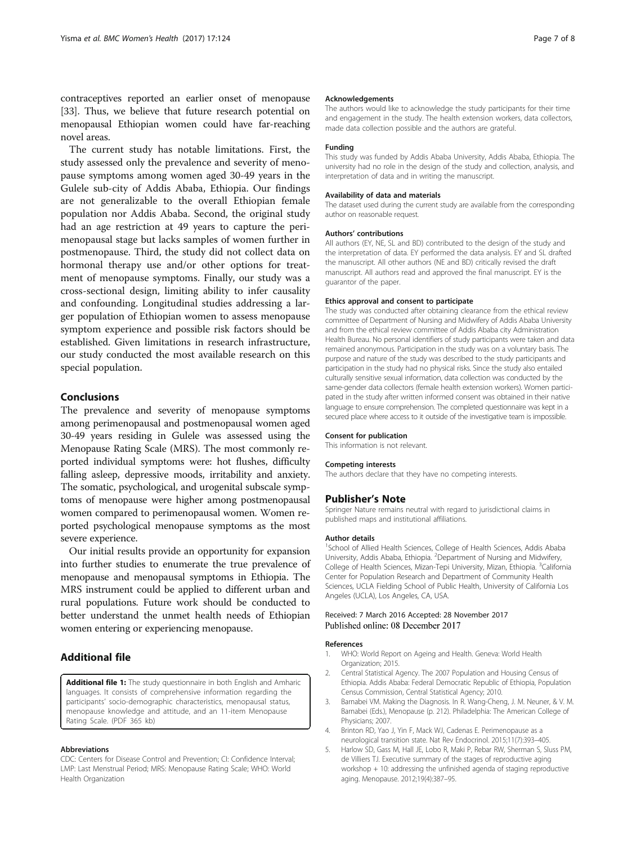<span id="page-6-0"></span>contraceptives reported an earlier onset of menopause [[33](#page-7-0)]. Thus, we believe that future research potential on menopausal Ethiopian women could have far-reaching novel areas.

The current study has notable limitations. First, the study assessed only the prevalence and severity of menopause symptoms among women aged 30-49 years in the Gulele sub-city of Addis Ababa, Ethiopia. Our findings are not generalizable to the overall Ethiopian female population nor Addis Ababa. Second, the original study had an age restriction at 49 years to capture the perimenopausal stage but lacks samples of women further in postmenopause. Third, the study did not collect data on hormonal therapy use and/or other options for treatment of menopause symptoms. Finally, our study was a cross-sectional design, limiting ability to infer causality and confounding. Longitudinal studies addressing a larger population of Ethiopian women to assess menopause symptom experience and possible risk factors should be established. Given limitations in research infrastructure, our study conducted the most available research on this special population.

# Conclusions

The prevalence and severity of menopause symptoms among perimenopausal and postmenopausal women aged 30-49 years residing in Gulele was assessed using the Menopause Rating Scale (MRS). The most commonly reported individual symptoms were: hot flushes, difficulty falling asleep, depressive moods, irritability and anxiety. The somatic, psychological, and urogenital subscale symptoms of menopause were higher among postmenopausal women compared to perimenopausal women. Women reported psychological menopause symptoms as the most severe experience.

Our initial results provide an opportunity for expansion into further studies to enumerate the true prevalence of menopause and menopausal symptoms in Ethiopia. The MRS instrument could be applied to different urban and rural populations. Future work should be conducted to better understand the unmet health needs of Ethiopian women entering or experiencing menopause.

# Additional file

[Additional file 1:](dx.doi.org/10.1186/s12905-017-0484-x) The study questionnaire in both English and Amharic languages. It consists of comprehensive information regarding the participants' socio-demographic characteristics, menopausal status, menopause knowledge and attitude, and an 11-item Menopause Rating Scale. (PDF 365 kb)

#### Abbreviations

CDC: Centers for Disease Control and Prevention; CI: Confidence Interval; LMP: Last Menstrual Period; MRS: Menopause Rating Scale; WHO: World Health Organization

#### Acknowledgements

The authors would like to acknowledge the study participants for their time and engagement in the study. The health extension workers, data collectors, made data collection possible and the authors are grateful.

### Funding

This study was funded by Addis Ababa University, Addis Ababa, Ethiopia. The university had no role in the design of the study and collection, analysis, and interpretation of data and in writing the manuscript.

#### Availability of data and materials

The dataset used during the current study are available from the corresponding author on reasonable request.

#### Authors' contributions

All authors (EY, NE, SL and BD) contributed to the design of the study and the interpretation of data. EY performed the data analysis. EY and SL drafted the manuscript. All other authors (NE and BD) critically revised the draft manuscript. All authors read and approved the final manuscript. EY is the guarantor of the paper.

### Ethics approval and consent to participate

The study was conducted after obtaining clearance from the ethical review committee of Department of Nursing and Midwifery of Addis Ababa University and from the ethical review committee of Addis Ababa city Administration Health Bureau. No personal identifiers of study participants were taken and data remained anonymous. Participation in the study was on a voluntary basis. The purpose and nature of the study was described to the study participants and participation in the study had no physical risks. Since the study also entailed culturally sensitive sexual information, data collection was conducted by the same-gender data collectors (female health extension workers). Women participated in the study after written informed consent was obtained in their native language to ensure comprehension. The completed questionnaire was kept in a secured place where access to it outside of the investigative team is impossible.

### Consent for publication

This information is not relevant.

### Competing interests

The authors declare that they have no competing interests.

### Publisher's Note

Springer Nature remains neutral with regard to jurisdictional claims in published maps and institutional affiliations.

### Author details

<sup>1</sup>School of Allied Health Sciences, College of Health Sciences, Addis Ababa University, Addis Ababa, Ethiopia. <sup>2</sup>Department of Nursing and Midwifery College of Health Sciences, Mizan-Tepi University, Mizan, Ethiopia. <sup>3</sup>California Center for Population Research and Department of Community Health Sciences, UCLA Fielding School of Public Health, University of California Los Angeles (UCLA), Los Angeles, CA, USA.

### Received: 7 March 2016 Accepted: 28 November 2017 Published online: 08 December 2017

### References

- 1. WHO: World Report on Ageing and Health. Geneva: World Health Organization; 2015.
- 2. Central Statistical Agency. The 2007 Population and Housing Census of Ethiopia. Addis Ababa: Federal Democratic Republic of Ethiopia, Population Census Commission, Central Statistical Agency; 2010.
- 3. Barnabei VM. Making the Diagnosis. In R. Wang-Cheng, J. M. Neuner, & V. M. Barnabei (Eds.), Menopause (p. 212). Philadelphia: The American College of Physicians; 2007
- 4. Brinton RD, Yao J, Yin F, Mack WJ, Cadenas E. Perimenopause as a neurological transition state. Nat Rev Endocrinol. 2015;11(7):393–405.
- 5. Harlow SD, Gass M, Hall JE, Lobo R, Maki P, Rebar RW, Sherman S, Sluss PM, de Villiers TJ. Executive summary of the stages of reproductive aging workshop + 10: addressing the unfinished agenda of staging reproductive aging. Menopause. 2012;19(4):387–95.